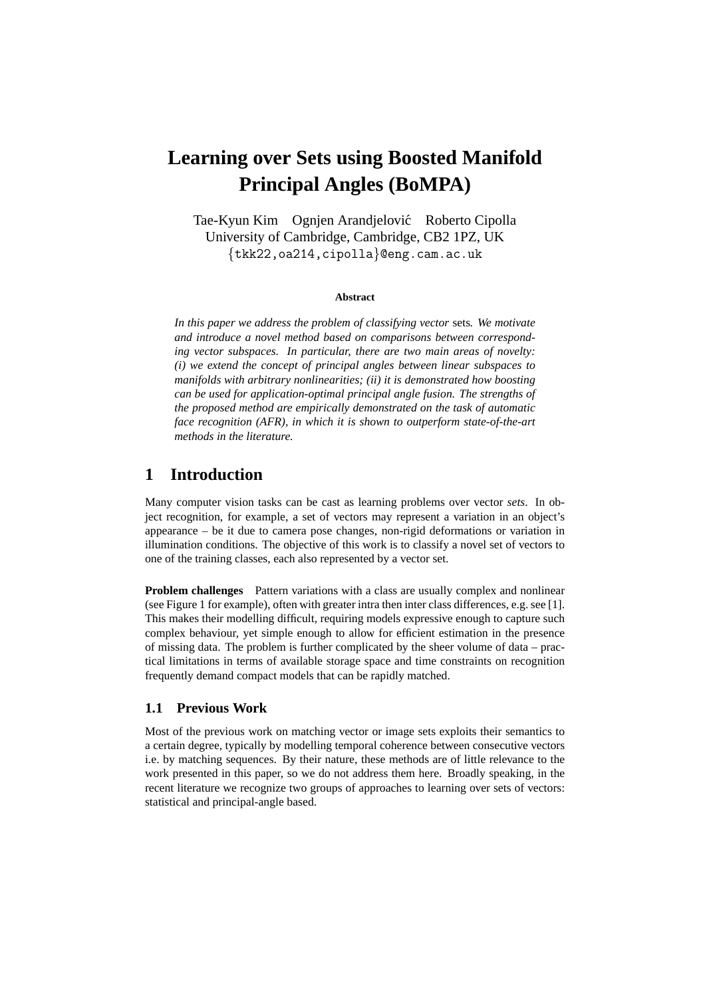# **Learning over Sets using Boosted Manifold Principal Angles (BoMPA)**

Tae-Kyun Kim Ognjen Arandjelovic Roberto Cipolla ´ University of Cambridge, Cambridge, CB2 1PZ, UK {tkk22,oa214,cipolla}@eng.cam.ac.uk

#### **Abstract**

*In this paper we address the problem of classifying vector* sets*. We motivate and introduce a novel method based on comparisons between corresponding vector subspaces. In particular, there are two main areas of novelty: (i) we extend the concept of principal angles between linear subspaces to manifolds with arbitrary nonlinearities; (ii) it is demonstrated how boosting can be used for application-optimal principal angle fusion. The strengths of the proposed method are empirically demonstrated on the task of automatic face recognition (AFR), in which it is shown to outperform state-of-the-art methods in the literature.*

## **1 Introduction**

Many computer vision tasks can be cast as learning problems over vector *sets*. In object recognition, for example, a set of vectors may represent a variation in an object's appearance – be it due to camera pose changes, non-rigid deformations or variation in illumination conditions. The objective of this work is to classify a novel set of vectors to one of the training classes, each also represented by a vector set.

**Problem challenges** Pattern variations with a class are usually complex and nonlinear (see Figure 1 for example), often with greater intra then inter class differences, e.g. see [1]. This makes their modelling difficult, requiring models expressive enough to capture such complex behaviour, yet simple enough to allow for efficient estimation in the presence of missing data. The problem is further complicated by the sheer volume of data – practical limitations in terms of available storage space and time constraints on recognition frequently demand compact models that can be rapidly matched.

#### **1.1 Previous Work**

Most of the previous work on matching vector or image sets exploits their semantics to a certain degree, typically by modelling temporal coherence between consecutive vectors i.e. by matching sequences. By their nature, these methods are of little relevance to the work presented in this paper, so we do not address them here. Broadly speaking, in the recent literature we recognize two groups of approaches to learning over sets of vectors: statistical and principal-angle based.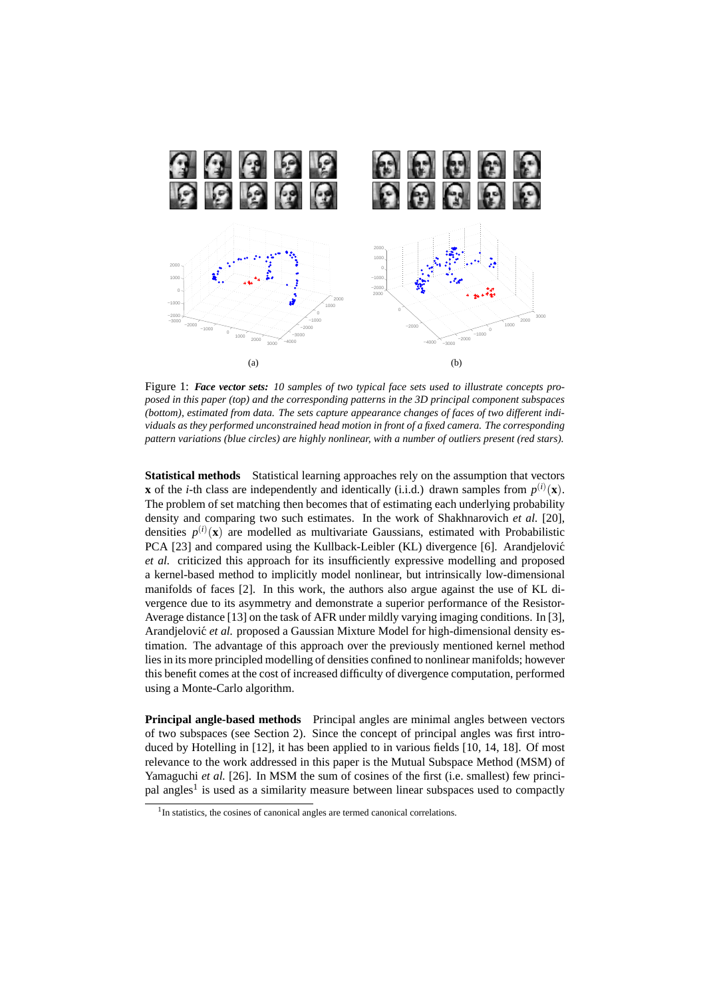

Figure 1: *Face vector sets: 10 samples of two typical face sets used to illustrate concepts proposed in this paper (top) and the corresponding patterns in the 3D principal component subspaces (bottom), estimated from data. The sets capture appearance changes of faces of two different individuals as they performed unconstrained head motion in front of a fixed camera. The corresponding pattern variations (blue circles) are highly nonlinear, with a number of outliers present (red stars).*

**Statistical methods** Statistical learning approaches rely on the assumption that vectors **x** of the *i*-th class are independently and identically (i.i.d.) drawn samples from  $p^{(i)}(\mathbf{x})$ . The problem of set matching then becomes that of estimating each underlying probability density and comparing two such estimates. In the work of Shakhnarovich *et al.* [20], densities  $p^{(i)}(\mathbf{x})$  are modelled as multivariate Gaussians, estimated with Probabilistic PCA [23] and compared using the Kullback-Leibler (KL) divergence [6]. Arandjelović *et al.* criticized this approach for its insufficiently expressive modelling and proposed a kernel-based method to implicitly model nonlinear, but intrinsically low-dimensional manifolds of faces [2]. In this work, the authors also argue against the use of KL divergence due to its asymmetry and demonstrate a superior performance of the Resistor-Average distance [13] on the task of AFR under mildly varying imaging conditions. In [3], Arandjelović et al. proposed a Gaussian Mixture Model for high-dimensional density estimation. The advantage of this approach over the previously mentioned kernel method lies in its more principled modelling of densities confined to nonlinear manifolds; however this benefit comes at the cost of increased difficulty of divergence computation, performed using a Monte-Carlo algorithm.

**Principal angle-based methods** Principal angles are minimal angles between vectors of two subspaces (see Section 2). Since the concept of principal angles was first introduced by Hotelling in [12], it has been applied to in various fields [10, 14, 18]. Of most relevance to the work addressed in this paper is the Mutual Subspace Method (MSM) of Yamaguchi *et al.* [26]. In MSM the sum of cosines of the first (i.e. smallest) few principal angles<sup>1</sup> is used as a similarity measure between linear subspaces used to compactly

<sup>&</sup>lt;sup>1</sup>In statistics, the cosines of canonical angles are termed canonical correlations.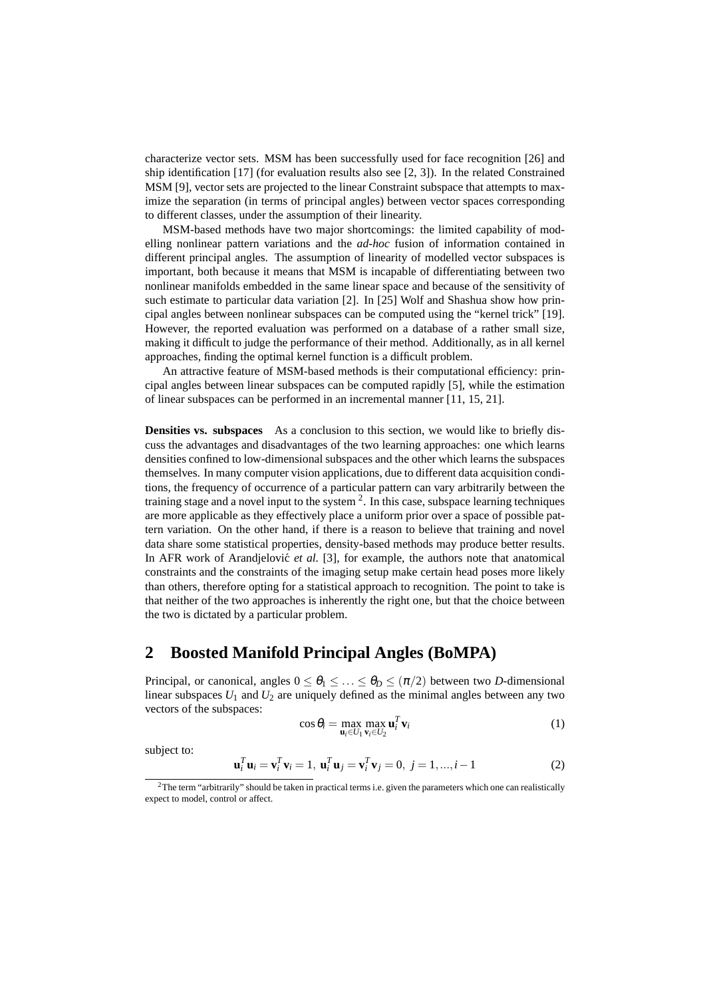characterize vector sets. MSM has been successfully used for face recognition [26] and ship identification [17] (for evaluation results also see [2, 3]). In the related Constrained MSM [9], vector sets are projected to the linear Constraint subspace that attempts to maximize the separation (in terms of principal angles) between vector spaces corresponding to different classes, under the assumption of their linearity.

MSM-based methods have two major shortcomings: the limited capability of modelling nonlinear pattern variations and the *ad-hoc* fusion of information contained in different principal angles. The assumption of linearity of modelled vector subspaces is important, both because it means that MSM is incapable of differentiating between two nonlinear manifolds embedded in the same linear space and because of the sensitivity of such estimate to particular data variation [2]. In [25] Wolf and Shashua show how principal angles between nonlinear subspaces can be computed using the "kernel trick" [19]. However, the reported evaluation was performed on a database of a rather small size, making it difficult to judge the performance of their method. Additionally, as in all kernel approaches, finding the optimal kernel function is a difficult problem.

An attractive feature of MSM-based methods is their computational efficiency: principal angles between linear subspaces can be computed rapidly [5], while the estimation of linear subspaces can be performed in an incremental manner [11, 15, 21].

**Densities vs. subspaces** As a conclusion to this section, we would like to briefly discuss the advantages and disadvantages of the two learning approaches: one which learns densities confined to low-dimensional subspaces and the other which learns the subspaces themselves. In many computer vision applications, due to different data acquisition conditions, the frequency of occurrence of a particular pattern can vary arbitrarily between the training stage and a novel input to the system  $2$ . In this case, subspace learning techniques are more applicable as they effectively place a uniform prior over a space of possible pattern variation. On the other hand, if there is a reason to believe that training and novel data share some statistical properties, density-based methods may produce better results. In AFR work of Arandjelovic<sup> $et$  *al.* [3], for example, the authors note that anatomical</sup> constraints and the constraints of the imaging setup make certain head poses more likely than others, therefore opting for a statistical approach to recognition. The point to take is that neither of the two approaches is inherently the right one, but that the choice between the two is dictated by a particular problem.

# **2 Boosted Manifold Principal Angles (BoMPA)**

Principal, or canonical, angles  $0 \le \theta_1 \le \ldots \le \theta_p \le (\pi/2)$  between two *D*-dimensional linear subspaces  $U_1$  and  $U_2$  are uniquely defined as the minimal angles between any two vectors of the subspaces:

$$
\cos \theta_i = \max_{\mathbf{u}_i \in U_1} \max_{\mathbf{v}_i \in U_2} \mathbf{u}_i^T \mathbf{v}_i \tag{1}
$$

subject to:

$$
\mathbf{u}_i^T \mathbf{u}_i = \mathbf{v}_i^T \mathbf{v}_i = 1, \, \mathbf{u}_i^T \mathbf{u}_j = \mathbf{v}_i^T \mathbf{v}_j = 0, \, j = 1, ..., i - 1 \tag{2}
$$

<sup>&</sup>lt;sup>2</sup>The term "arbitrarily" should be taken in practical terms i.e. given the parameters which one can realistically expect to model, control or affect.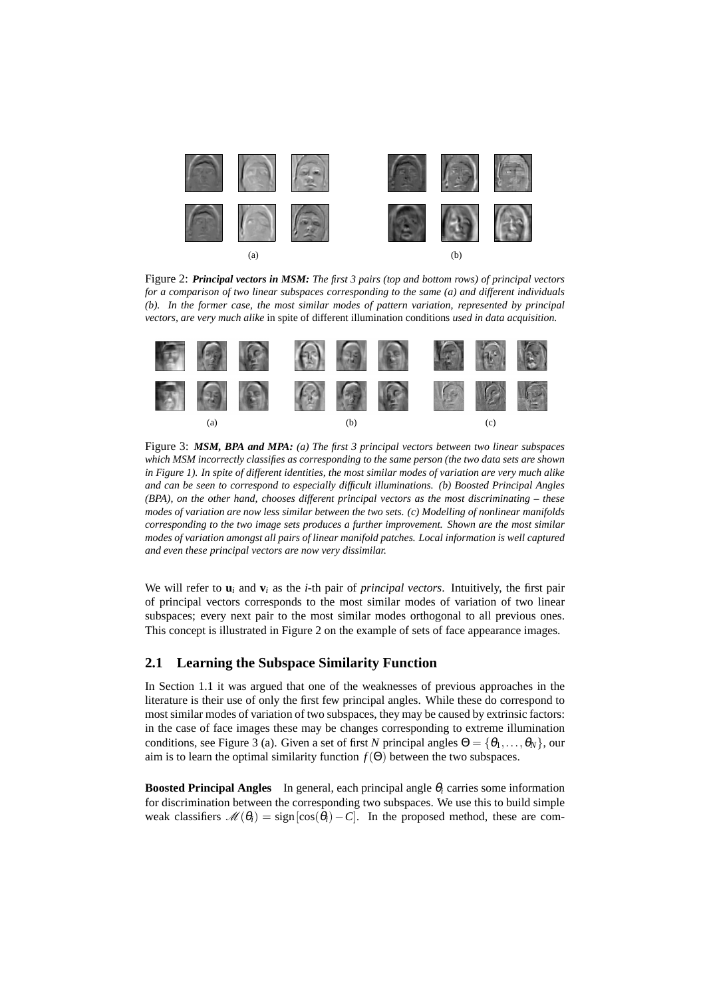

Figure 2: *Principal vectors in MSM: The first 3 pairs (top and bottom rows) of principal vectors for a comparison of two linear subspaces corresponding to the same (a) and different individuals (b). In the former case, the most similar modes of pattern variation, represented by principal vectors, are very much alike* in spite of different illumination conditions *used in data acquisition.*



Figure 3: *MSM, BPA and MPA: (a) The first 3 principal vectors between two linear subspaces which MSM incorrectly classifies as corresponding to the same person (the two data sets are shown in Figure 1). In spite of different identities, the most similar modes of variation are very much alike and can be seen to correspond to especially difficult illuminations. (b) Boosted Principal Angles (BPA), on the other hand, chooses different principal vectors as the most discriminating – these modes of variation are now less similar between the two sets. (c) Modelling of nonlinear manifolds corresponding to the two image sets produces a further improvement. Shown are the most similar modes of variation amongst all pairs of linear manifold patches. Local information is well captured and even these principal vectors are now very dissimilar.*

We will refer to  $\mathbf{u}_i$  and  $\mathbf{v}_i$  as the *i*-th pair of *principal vectors*. Intuitively, the first pair of principal vectors corresponds to the most similar modes of variation of two linear subspaces; every next pair to the most similar modes orthogonal to all previous ones. This concept is illustrated in Figure 2 on the example of sets of face appearance images.

#### **2.1 Learning the Subspace Similarity Function**

In Section 1.1 it was argued that one of the weaknesses of previous approaches in the literature is their use of only the first few principal angles. While these do correspond to most similar modes of variation of two subspaces, they may be caused by extrinsic factors: in the case of face images these may be changes corresponding to extreme illumination conditions, see Figure 3 (a). Given a set of first *N* principal angles  $\Theta = {\theta_1, \dots, \theta_N}$ , our aim is to learn the optimal similarity function  $f(\Theta)$  between the two subspaces.

**Boosted Principal Angles** In general, each principal angle <sup>θ</sup>*<sup>i</sup>* carries some information for discrimination between the corresponding two subspaces. We use this to build simple weak classifiers  $\mathcal{M}(\theta_i) = \text{sign}[\cos(\theta_i) - C]$ . In the proposed method, these are com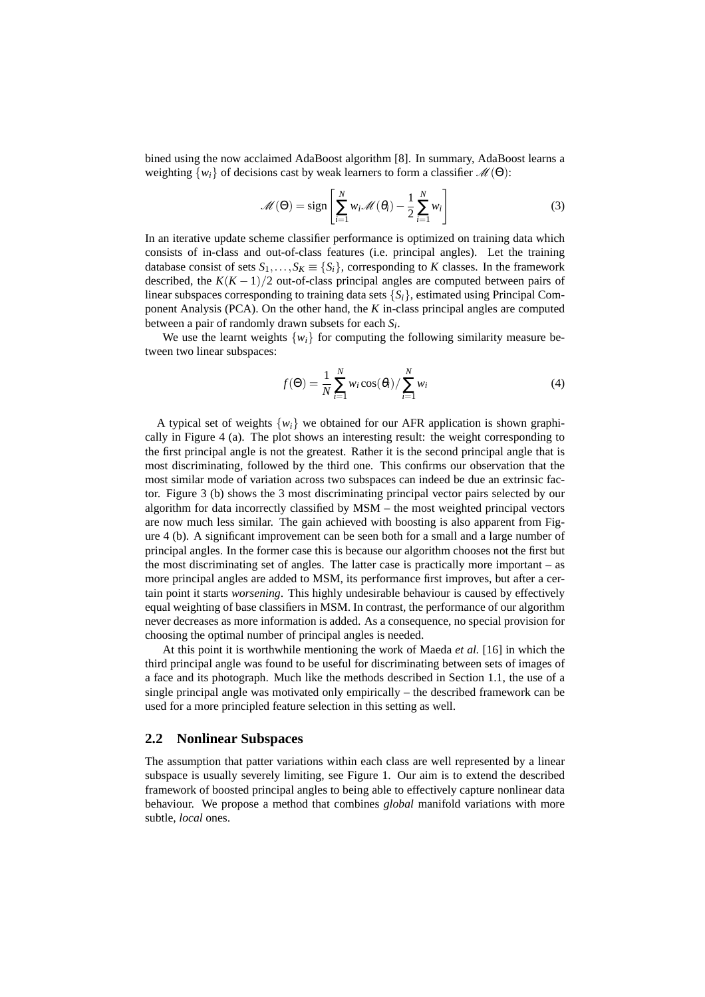bined using the now acclaimed AdaBoost algorithm [8]. In summary, AdaBoost learns a weighting  $\{w_i\}$  of decisions cast by weak learners to form a classifier  $\mathcal{M}(\Theta)$ :

$$
\mathcal{M}(\Theta) = \text{sign}\left[\sum_{i=1}^{N} w_i \mathcal{M}(\theta_i) - \frac{1}{2} \sum_{i=1}^{N} w_i\right]
$$
(3)

In an iterative update scheme classifier performance is optimized on training data which consists of in-class and out-of-class features (i.e. principal angles). Let the training database consist of sets  $S_1, \ldots, S_K \equiv \{S_i\}$ , corresponding to *K* classes. In the framework described, the  $K(K-1)/2$  out-of-class principal angles are computed between pairs of linear subspaces corresponding to training data sets  ${S_i}$ , estimated using Principal Component Analysis (PCA). On the other hand, the *K* in-class principal angles are computed between a pair of randomly drawn subsets for each *S<sup>i</sup>* .

We use the learnt weights  $\{w_i\}$  for computing the following similarity measure between two linear subspaces:

$$
f(\Theta) = \frac{1}{N} \sum_{i=1}^{N} w_i \cos(\theta_i) / \sum_{i=1}^{N} w_i
$$
 (4)

A typical set of weights  $\{w_i\}$  we obtained for our AFR application is shown graphically in Figure 4 (a). The plot shows an interesting result: the weight corresponding to the first principal angle is not the greatest. Rather it is the second principal angle that is most discriminating, followed by the third one. This confirms our observation that the most similar mode of variation across two subspaces can indeed be due an extrinsic factor. Figure 3 (b) shows the 3 most discriminating principal vector pairs selected by our algorithm for data incorrectly classified by MSM – the most weighted principal vectors are now much less similar. The gain achieved with boosting is also apparent from Figure 4 (b). A significant improvement can be seen both for a small and a large number of principal angles. In the former case this is because our algorithm chooses not the first but the most discriminating set of angles. The latter case is practically more important – as more principal angles are added to MSM, its performance first improves, but after a certain point it starts *worsening*. This highly undesirable behaviour is caused by effectively equal weighting of base classifiers in MSM. In contrast, the performance of our algorithm never decreases as more information is added. As a consequence, no special provision for choosing the optimal number of principal angles is needed.

At this point it is worthwhile mentioning the work of Maeda *et al.* [16] in which the third principal angle was found to be useful for discriminating between sets of images of a face and its photograph. Much like the methods described in Section 1.1, the use of a single principal angle was motivated only empirically – the described framework can be used for a more principled feature selection in this setting as well.

#### **2.2 Nonlinear Subspaces**

The assumption that patter variations within each class are well represented by a linear subspace is usually severely limiting, see Figure 1. Our aim is to extend the described framework of boosted principal angles to being able to effectively capture nonlinear data behaviour. We propose a method that combines *global* manifold variations with more subtle, *local* ones.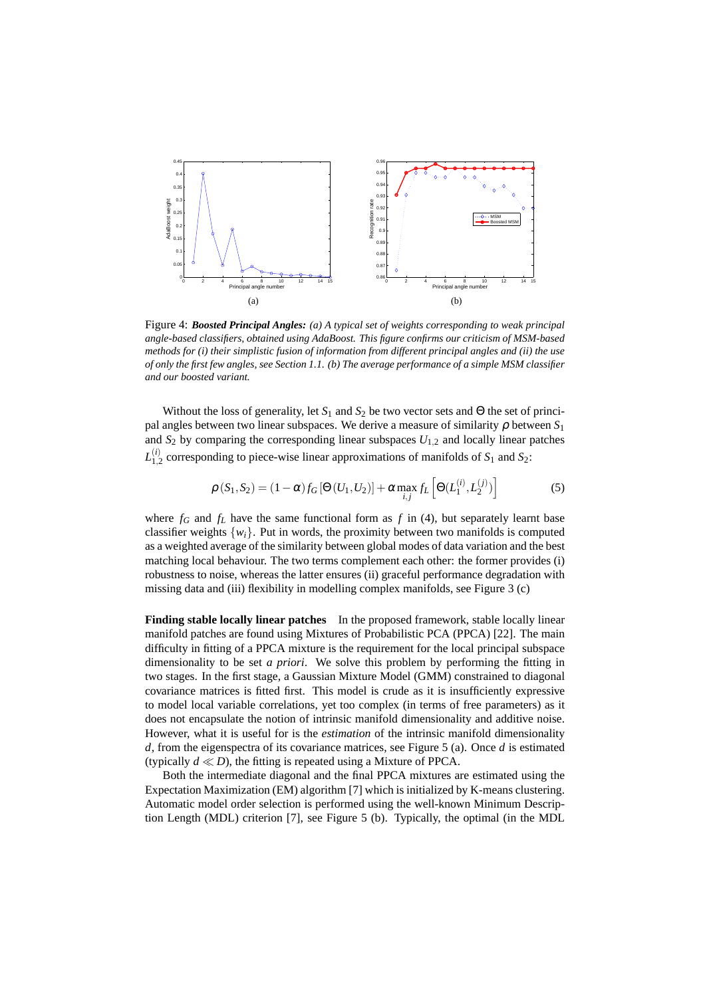

Figure 4: *Boosted Principal Angles: (a) A typical set of weights corresponding to weak principal angle-based classifiers, obtained using AdaBoost. This figure confirms our criticism of MSM-based methods for (i) their simplistic fusion of information from different principal angles and (ii) the use of only the first few angles, see Section 1.1. (b) The average performance of a simple MSM classifier and our boosted variant.*

Without the loss of generality, let  $S_1$  and  $S_2$  be two vector sets and  $\Theta$  the set of principal angles between two linear subspaces. We derive a measure of similarity  $\rho$  between  $S_1$ and  $S_2$  by comparing the corresponding linear subspaces  $U_{1,2}$  and locally linear patches  $L^{(i)}_{\scriptscriptstyle 1}$  :  $\frac{1}{1,2}$  corresponding to piece-wise linear approximations of manifolds of  $S_1$  and  $S_2$ :

$$
\rho(S_1, S_2) = (1 - \alpha) f_G [\Theta(U_1, U_2)] + \alpha \max_{i,j} f_L \left[ \Theta(L_1^{(i)}, L_2^{(j)}) \right]
$$
(5)

where  $f_G$  and  $f_L$  have the same functional form as  $f$  in (4), but separately learnt base classifier weights  $\{w_i\}$ . Put in words, the proximity between two manifolds is computed as a weighted average of the similarity between global modes of data variation and the best matching local behaviour. The two terms complement each other: the former provides (i) robustness to noise, whereas the latter ensures (ii) graceful performance degradation with missing data and (iii) flexibility in modelling complex manifolds, see Figure 3 (c)

**Finding stable locally linear patches** In the proposed framework, stable locally linear manifold patches are found using Mixtures of Probabilistic PCA (PPCA) [22]. The main difficulty in fitting of a PPCA mixture is the requirement for the local principal subspace dimensionality to be set *a priori*. We solve this problem by performing the fitting in two stages. In the first stage, a Gaussian Mixture Model (GMM) constrained to diagonal covariance matrices is fitted first. This model is crude as it is insufficiently expressive to model local variable correlations, yet too complex (in terms of free parameters) as it does not encapsulate the notion of intrinsic manifold dimensionality and additive noise. However, what it is useful for is the *estimation* of the intrinsic manifold dimensionality *d*, from the eigenspectra of its covariance matrices, see Figure 5 (a). Once *d* is estimated (typically  $d \ll D$ ), the fitting is repeated using a Mixture of PPCA.

Both the intermediate diagonal and the final PPCA mixtures are estimated using the Expectation Maximization (EM) algorithm [7] which is initialized by K-means clustering. Automatic model order selection is performed using the well-known Minimum Description Length (MDL) criterion [7], see Figure 5 (b). Typically, the optimal (in the MDL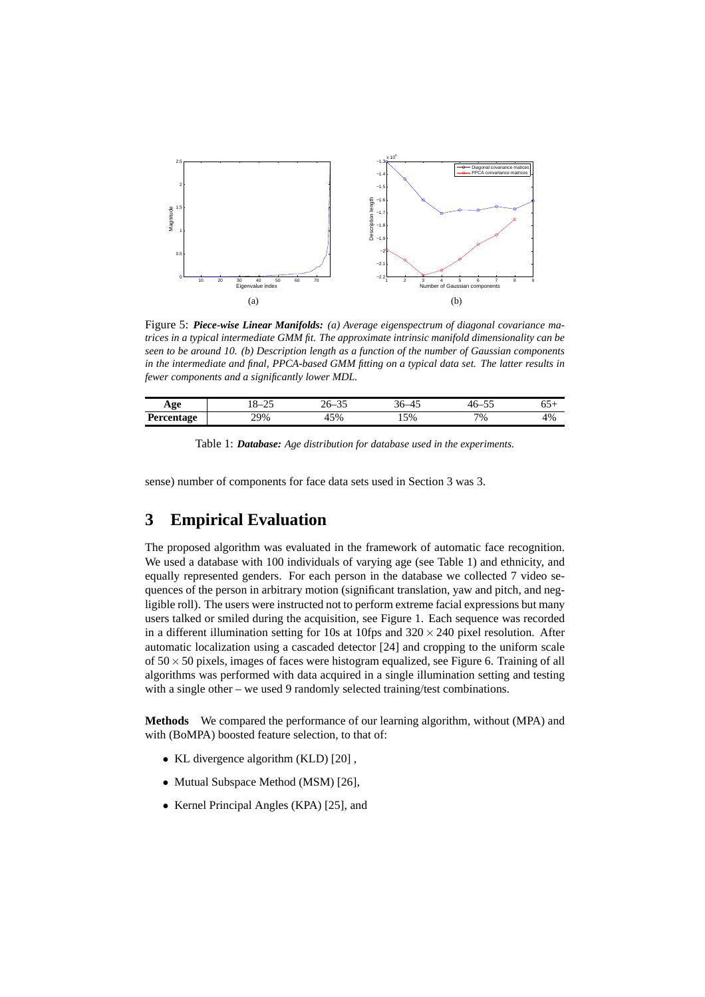

Figure 5: *Piece-wise Linear Manifolds: (a) Average eigenspectrum of diagonal covariance matrices in a typical intermediate GMM fit. The approximate intrinsic manifold dimensionality can be seen to be around 10. (b) Description length as a function of the number of Gaussian components in the intermediate and final, PPCA-based GMM fitting on a typical data set. The latter results in fewer components and a significantly lower MDL.*

| Age                                              | ~-<br><b>L</b> | _<br>ت ب<br>~∪ |           | $ -$<br>_<br>7 U<br>ັ້ | ∪∪⊺ |
|--------------------------------------------------|----------------|----------------|-----------|------------------------|-----|
| Percentage<br>$\sim$ $\sim$ $\sim$ $\sim$ $\sim$ | 70%<br>47 W    | 45%            | 5%<br>، ب | 7%                     | 4%  |

| Table 1: Database: Age distribution for database used in the experiments. |  |  |  |  |  |  |  |
|---------------------------------------------------------------------------|--|--|--|--|--|--|--|
|---------------------------------------------------------------------------|--|--|--|--|--|--|--|

sense) number of components for face data sets used in Section 3 was 3.

# **3 Empirical Evaluation**

The proposed algorithm was evaluated in the framework of automatic face recognition. We used a database with 100 individuals of varying age (see Table 1) and ethnicity, and equally represented genders. For each person in the database we collected 7 video sequences of the person in arbitrary motion (significant translation, yaw and pitch, and negligible roll). The users were instructed not to perform extreme facial expressions but many users talked or smiled during the acquisition, see Figure 1. Each sequence was recorded in a different illumination setting for 10s at 10fps and  $320 \times 240$  pixel resolution. After automatic localization using a cascaded detector [24] and cropping to the uniform scale of  $50 \times 50$  pixels, images of faces were histogram equalized, see Figure 6. Training of all algorithms was performed with data acquired in a single illumination setting and testing with a single other – we used 9 randomly selected training/test combinations.

**Methods** We compared the performance of our learning algorithm, without (MPA) and with (BoMPA) boosted feature selection, to that of:

- KL divergence algorithm (KLD) [20] ,
- Mutual Subspace Method (MSM) [26],
- Kernel Principal Angles (KPA) [25], and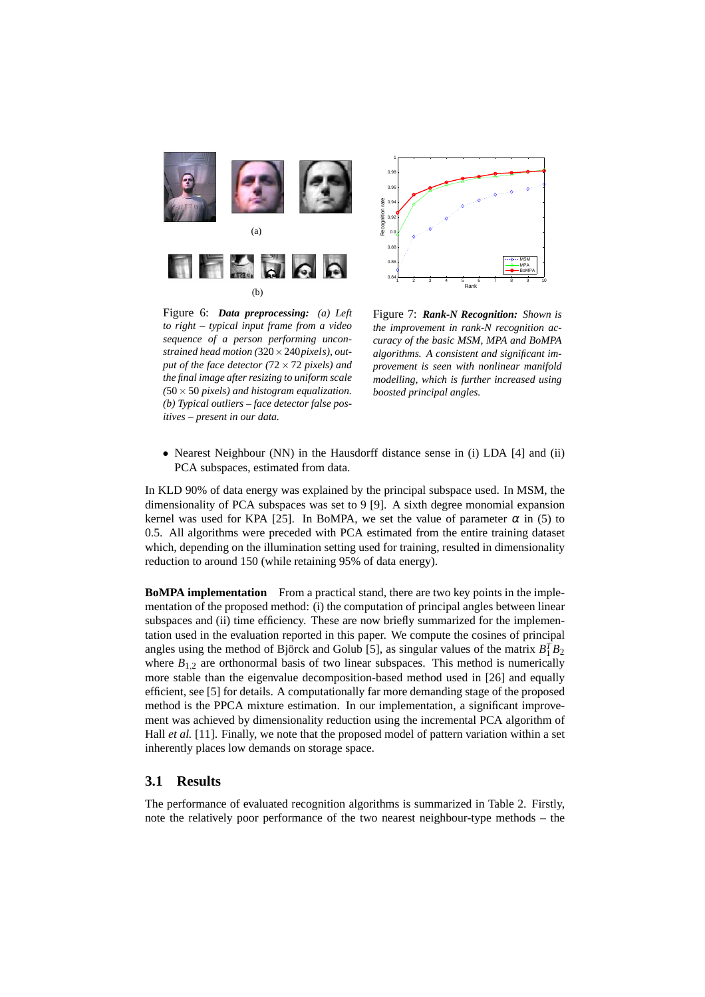



Figure 6: *Data preprocessing: (a) Left to right – typical input frame from a video sequence of a person performing unconstrained head motion (*320×240*pixels), output of the face detector (*72×72 *pixels) and the final image after resizing to uniform scale (*50×50 *pixels) and histogram equalization. (b) Typical outliers – face detector false positives – present in our data.*

Figure 7: *Rank-N Recognition: Shown is the improvement in rank-N recognition accuracy of the basic MSM, MPA and BoMPA algorithms. A consistent and significant improvement is seen with nonlinear manifold modelling, which is further increased using boosted principal angles.*

• Nearest Neighbour (NN) in the Hausdorff distance sense in (i) LDA [4] and (ii) PCA subspaces, estimated from data.

In KLD 90% of data energy was explained by the principal subspace used. In MSM, the dimensionality of PCA subspaces was set to 9 [9]. A sixth degree monomial expansion kernel was used for KPA [25]. In BoMPA, we set the value of parameter  $\alpha$  in (5) to 0.5. All algorithms were preceded with PCA estimated from the entire training dataset which, depending on the illumination setting used for training, resulted in dimensionality reduction to around 150 (while retaining 95% of data energy).

**BoMPA implementation** From a practical stand, there are two key points in the implementation of the proposed method: (i) the computation of principal angles between linear subspaces and (ii) time efficiency. These are now briefly summarized for the implementation used in the evaluation reported in this paper. We compute the cosines of principal angles using the method of Björck and Golub [5], as singular values of the matrix  $B_1^T B_2$ where  $B_{1,2}$  are orthonormal basis of two linear subspaces. This method is numerically more stable than the eigenvalue decomposition-based method used in [26] and equally efficient, see [5] for details. A computationally far more demanding stage of the proposed method is the PPCA mixture estimation. In our implementation, a significant improvement was achieved by dimensionality reduction using the incremental PCA algorithm of Hall *et al.* [11]. Finally, we note that the proposed model of pattern variation within a set inherently places low demands on storage space.

#### **3.1 Results**

The performance of evaluated recognition algorithms is summarized in Table 2. Firstly, note the relatively poor performance of the two nearest neighbour-type methods – the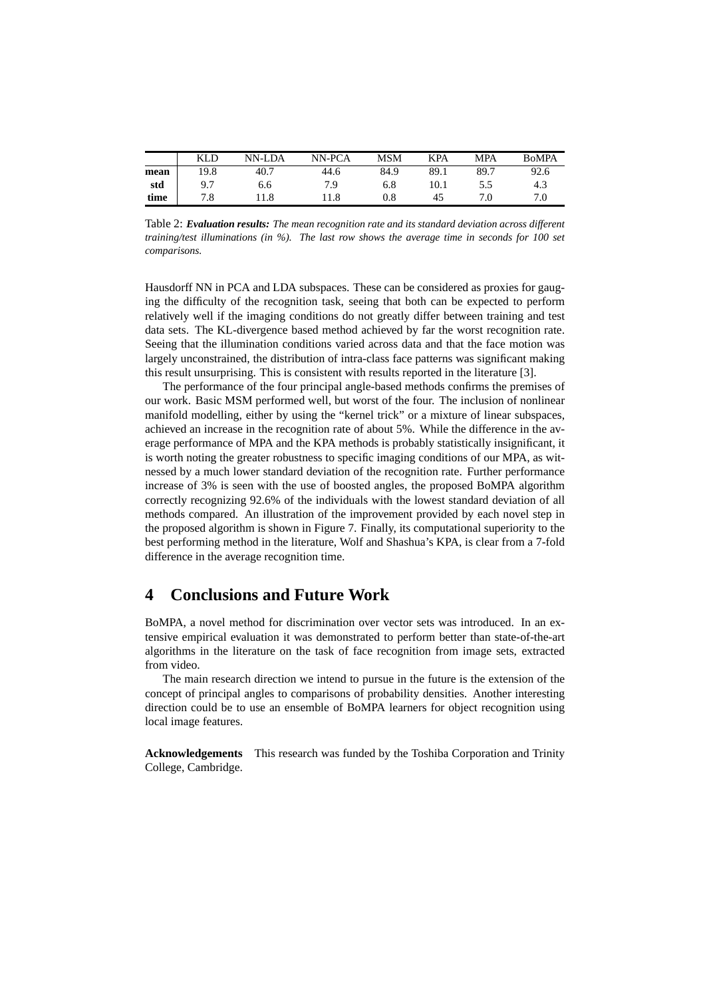|      | KLD  | NN-LDA | NN-PCA | <b>MSM</b>   | <b>KPA</b> | <b>MPA</b> | <b>BoMPA</b> |
|------|------|--------|--------|--------------|------------|------------|--------------|
| mean | 19.8 | 40.7   | 44.6   | 84.9         | 89.1       | 89.7       | 92.6         |
| std  | 9.7  | 6.6    | 7.9    | 6.8          | 10.1       |            | 4.3          |
| time | 7.8  | 1.8    | 11.8   | $_{\rm 0.8}$ | 45         |            | 7.0          |

Table 2: *Evaluation results: The mean recognition rate and its standard deviation across different training/test illuminations (in %). The last row shows the average time in seconds for 100 set comparisons.*

Hausdorff NN in PCA and LDA subspaces. These can be considered as proxies for gauging the difficulty of the recognition task, seeing that both can be expected to perform relatively well if the imaging conditions do not greatly differ between training and test data sets. The KL-divergence based method achieved by far the worst recognition rate. Seeing that the illumination conditions varied across data and that the face motion was largely unconstrained, the distribution of intra-class face patterns was significant making this result unsurprising. This is consistent with results reported in the literature [3].

The performance of the four principal angle-based methods confirms the premises of our work. Basic MSM performed well, but worst of the four. The inclusion of nonlinear manifold modelling, either by using the "kernel trick" or a mixture of linear subspaces, achieved an increase in the recognition rate of about 5%. While the difference in the average performance of MPA and the KPA methods is probably statistically insignificant, it is worth noting the greater robustness to specific imaging conditions of our MPA, as witnessed by a much lower standard deviation of the recognition rate. Further performance increase of 3% is seen with the use of boosted angles, the proposed BoMPA algorithm correctly recognizing 92.6% of the individuals with the lowest standard deviation of all methods compared. An illustration of the improvement provided by each novel step in the proposed algorithm is shown in Figure 7. Finally, its computational superiority to the best performing method in the literature, Wolf and Shashua's KPA, is clear from a 7-fold difference in the average recognition time.

## **4 Conclusions and Future Work**

BoMPA, a novel method for discrimination over vector sets was introduced. In an extensive empirical evaluation it was demonstrated to perform better than state-of-the-art algorithms in the literature on the task of face recognition from image sets, extracted from video.

The main research direction we intend to pursue in the future is the extension of the concept of principal angles to comparisons of probability densities. Another interesting direction could be to use an ensemble of BoMPA learners for object recognition using local image features.

**Acknowledgements** This research was funded by the Toshiba Corporation and Trinity College, Cambridge.